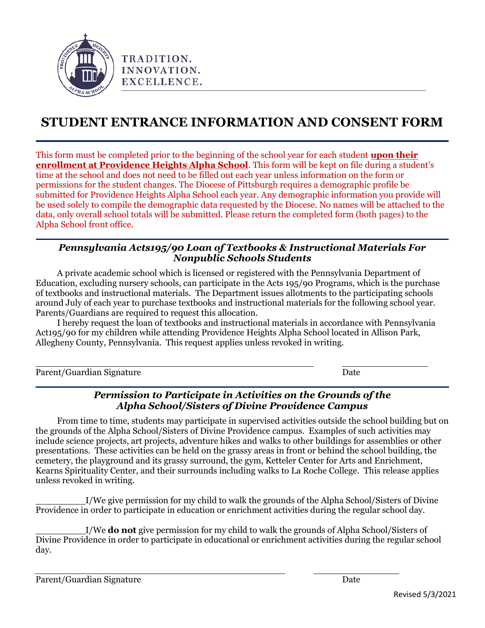

# **STUDENT ENTRANCE INFORMATION AND CONSENT FORM**

This form must be completed prior to the beginning of the school year for each student **upon their enrollment at Providence Heights Alpha School**. This form will be kept on file during a student's time at the school and does not need to be filled out each year unless information on the form or permissions for the student changes. The Diocese of Pittsburgh requires a demographic profile be submitted for Providence Heights Alpha School each year. Any demographic information you provide will be used solely to compile the demographic data requested by the Diocese. No names will be attached to the data, only overall school totals will be submitted. Please return the completed form (both pages) to the Alpha School front office.

#### *Pennsylvania Acts195/90 Loan of Textbooks & Instructional Materials For Nonpublic Schools Students*

A private academic school which is licensed or registered with the Pennsylvania Department of Education, excluding nursery schools, can participate in the Acts 195/90 Programs, which is the purchase of textbooks and instructional materials. The Department issues allotments to the participating schools around July of each year to purchase textbooks and instructional materials for the following school year. Parents/Guardians are required to request this allocation.

I hereby request the loan of textbooks and instructional materials in accordance with Pennsylvania Act195/90 for my children while attending Providence Heights Alpha School located in Allison Park, Allegheny County, Pennsylvania. This request applies unless revoked in writing.

Parent/Guardian Signature Date

#### *Permission to Participate in Activities on the Grounds of the Alpha School/Sisters of Divine Providence Campus*

From time to time, students may participate in supervised activities outside the school building but on the grounds of the Alpha School/Sisters of Divine Providence campus. Examples of such activities may include science projects, art projects, adventure hikes and walks to other buildings for assemblies or other presentations. These activities can be held on the grassy areas in front or behind the school building, the cemetery, the playground and its grassy surround, the gym, Ketteler Center for Arts and Enrichment, Kearns Spirituality Center, and their surrounds including walks to La Roche College. This release applies unless revoked in writing.

I/We give permission for my child to walk the grounds of the Alpha School/Sisters of Divine Providence in order to participate in education or enrichment activities during the regular school day.

I/We **do not** give permission for my child to walk the grounds of Alpha School/Sisters of Divine Providence in order to participate in educational or enrichment activities during the regular school day.